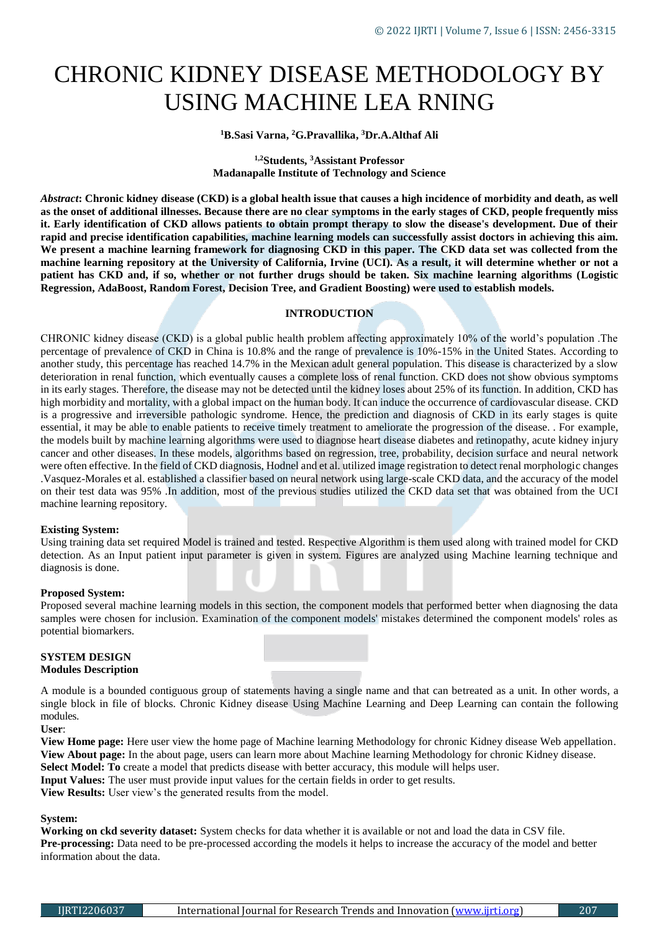# CHRONIC KIDNEY DISEASE METHODOLOGY BY USING MACHINE LEA RNING

# **<sup>1</sup>B.Sasi Varna, <sup>2</sup>G.Pravallika, <sup>3</sup>Dr.A.Althaf Ali**

# **1,2Students, <sup>3</sup>Assistant Professor Madanapalle Institute of Technology and Science**

*Abstract***: Chronic kidney disease (CKD) is a global health issue that causes a high incidence of morbidity and death, as well as the onset of additional illnesses. Because there are no clear symptoms in the early stages of CKD, people frequently miss it. Early identification of CKD allows patients to obtain prompt therapy to slow the disease's development. Due of their rapid and precise identification capabilities, machine learning models can successfully assist doctors in achieving this aim. We present a machine learning framework for diagnosing CKD in this paper. The CKD data set was collected from the machine learning repository at the University of California, Irvine (UCI). As a result, it will determine whether or not a patient has CKD and, if so, whether or not further drugs should be taken. Six machine learning algorithms (Logistic Regression, AdaBoost, Random Forest, Decision Tree, and Gradient Boosting) were used to establish models.** 

### **INTRODUCTION**

CHRONIC kidney disease (CKD) is a global public health problem affecting approximately 10% of the world's population .The percentage of prevalence of CKD in China is 10.8% and the range of prevalence is 10%-15% in the United States. According to another study, this percentage has reached 14.7% in the Mexican adult general population. This disease is characterized by a slow deterioration in renal function, which eventually causes a complete loss of renal function. CKD does not show obvious symptoms in its early stages. Therefore, the disease may not be detected until the kidney loses about 25% of its function. In addition, CKD has high morbidity and mortality, with a global impact on the human body. It can induce the occurrence of cardiovascular disease. CKD is a progressive and irreversible pathologic syndrome. Hence, the prediction and diagnosis of CKD in its early stages is quite essential, it may be able to enable patients to receive timely treatment to ameliorate the progression of the disease. . For example, the models built by machine learning algorithms were used to diagnose heart disease diabetes and retinopathy, acute kidney injury cancer and other diseases. In these models, algorithms based on regression, tree, probability, decision surface and neural network were often effective. In the field of CKD diagnosis, Hodnel and et al. utilized image registration to detect renal morphologic changes .Vasquez-Morales et al. established a classifier based on neural network using large-scale CKD data, and the accuracy of the model on their test data was 95% .In addition, most of the previous studies utilized the CKD data set that was obtained from the UCI machine learning repository.

#### **Existing System:**

Using training data set required Model is trained and tested. Respective Algorithm is them used along with trained model for CKD detection. As an Input patient input parameter is given in system. Figures are analyzed using Machine learning technique and diagnosis is done.

#### **Proposed System:**

Proposed several machine learning models in this section, the component models that performed better when diagnosing the data samples were chosen for inclusion. Examination of the component models' mistakes determined the component models' roles as potential biomarkers.

# **SYSTEM DESIGN Modules Description**

A module is a bounded contiguous group of statements having a single name and that can betreated as a unit. In other words, a single block in file of blocks. Chronic Kidney disease Using Machine Learning and Deep Learning can contain the following modules.

**User**:

**View Home page:** Here user view the home page of Machine learning Methodology for chronic Kidney disease Web appellation. **View About page:** In the about page, users can learn more about Machine learning Methodology for chronic Kidney disease. **Select Model: To** create a model that predicts disease with better accuracy, this module will helps user.

**Input Values:** The user must provide input values for the certain fields in order to get results.

**View Results:** User view's the generated results from the model.

# **System:**

**Working on ckd severity dataset:** System checks for data whether it is available or not and load the data in CSV file. **Pre-processing:** Data need to be pre-processed according the models it helps to increase the accuracy of the model and better information about the data.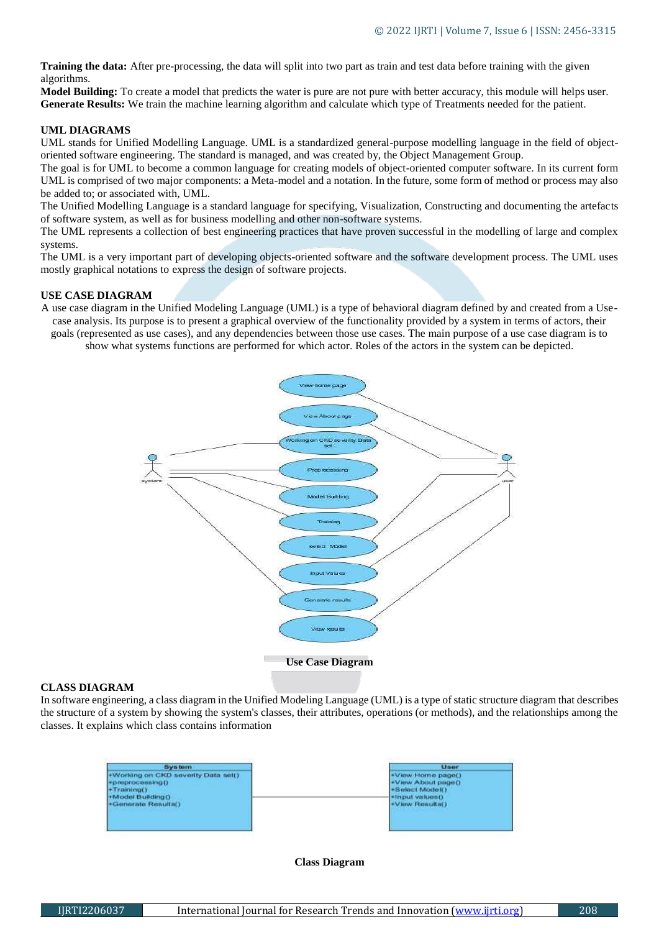**Training the data:** After pre-processing, the data will split into two part as train and test data before training with the given algorithms.

**Model Building:** To create a model that predicts the water is pure are not pure with better accuracy, this module will helps user. **Generate Results:** We train the machine learning algorithm and calculate which type of Treatments needed for the patient.

# **UML DIAGRAMS**

UML stands for Unified Modelling Language. UML is a standardized general-purpose modelling language in the field of objectoriented software engineering. The standard is managed, and was created by, the Object Management Group.

The goal is for UML to become a common language for creating models of object-oriented computer software. In its current form UML is comprised of two major components: a Meta-model and a notation. In the future, some form of method or process may also be added to; or associated with, UML.

The Unified Modelling Language is a standard language for specifying, Visualization, Constructing and documenting the artefacts of software system, as well as for business modelling and other non-software systems.

The UML represents a collection of best engineering practices that have proven successful in the modelling of large and complex systems.

The UML is a very important part of developing objects-oriented software and the software development process. The UML uses mostly graphical notations to express the design of software projects.

# **USE CASE DIAGRAM**

A use case diagram in the Unified Modeling Language (UML) is a type of behavioral diagram defined by and created from a Usecase analysis. Its purpose is to present a graphical overview of the functionality provided by a system in terms of actors, their goals (represented as use cases), and any dependencies between those use cases. The main purpose of a use case diagram is to show what systems functions are performed for which actor. Roles of the actors in the system can be depicted.



# **CLASS DIAGRAM**

In software engineering, a class diagram in the Unified Modeling Language (UML) is a type of static structure diagram that describes the structure of a system by showing the system's classes, their attributes, operations (or methods), and the relationships among the classes. It explains which class contains information



#### **Class Diagram**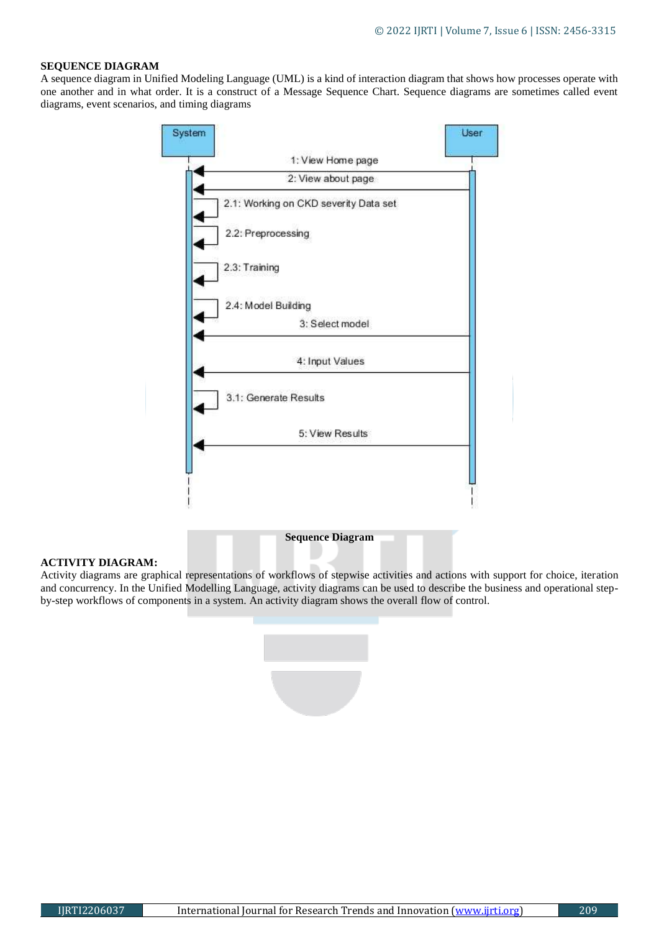# **SEQUENCE DIAGRAM**

A sequence diagram in Unified Modeling Language (UML) is a kind of interaction diagram that shows how processes operate with one another and in what order. It is a construct of a Message Sequence Chart. Sequence diagrams are sometimes called event diagrams, event scenarios, and timing diagrams



# **ACTIVITY DIAGRAM:**

Activity diagrams are graphical representations of workflows of stepwise activities and actions with support for choice, iteration and concurrency. In the Unified Modelling Language, activity diagrams can be used to describe the business and operational stepby-step workflows of components in a system. An activity diagram shows the overall flow of control.

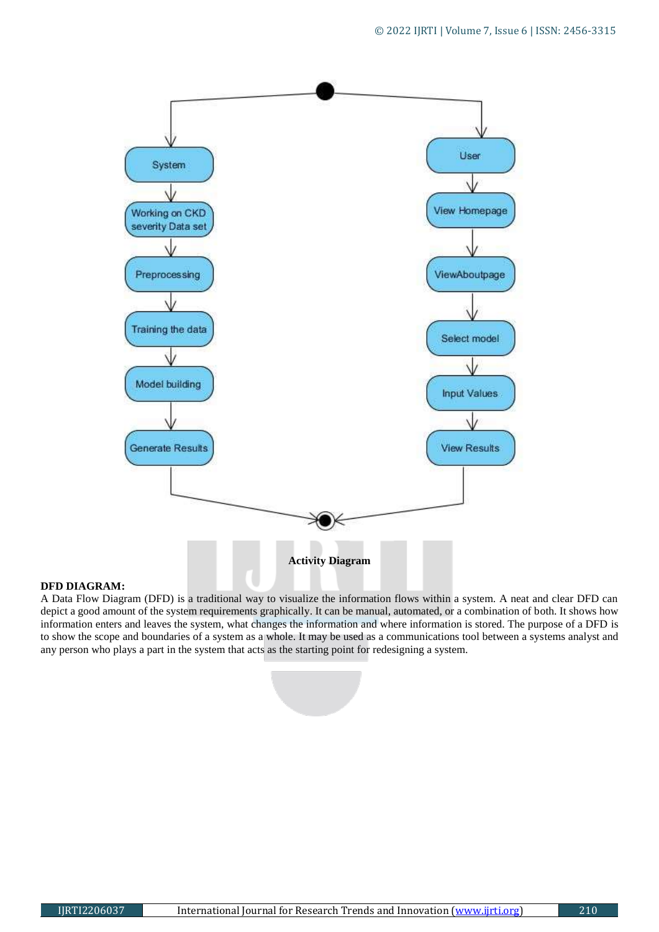

### **DFD DIAGRAM:**

A Data Flow Diagram (DFD) is a traditional way to visualize the information flows within a system. A neat and clear DFD can depict a good amount of the system requirements graphically. It can be manual, automated, or a combination of both. It shows how information enters and leaves the system, what changes the information and where information is stored. The purpose of a DFD is to show the scope and boundaries of a system as a whole. It may be used as a communications tool between a systems analyst and any person who plays a part in the system that acts as the starting point for redesigning a system.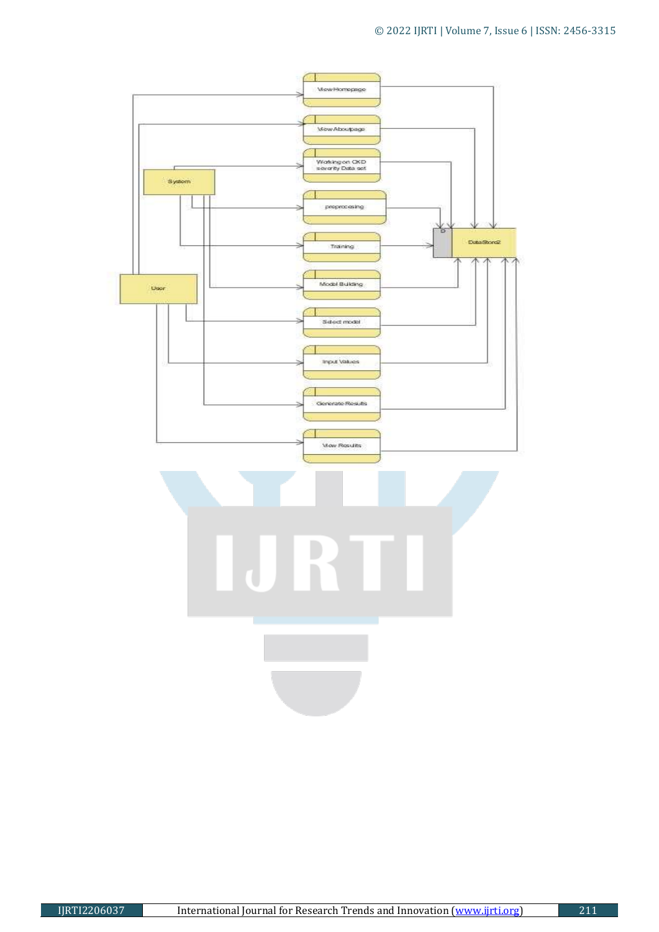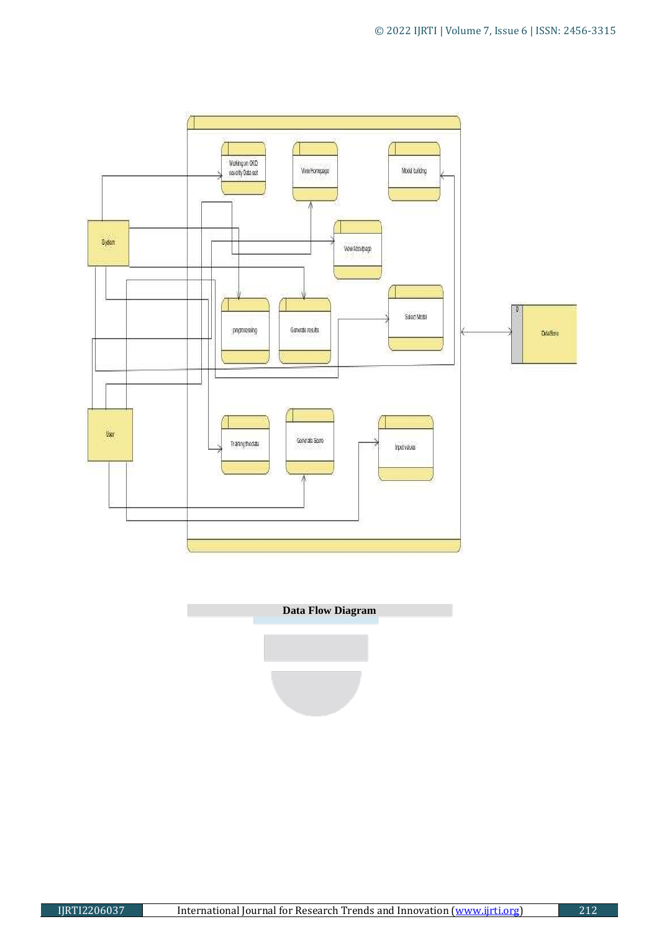

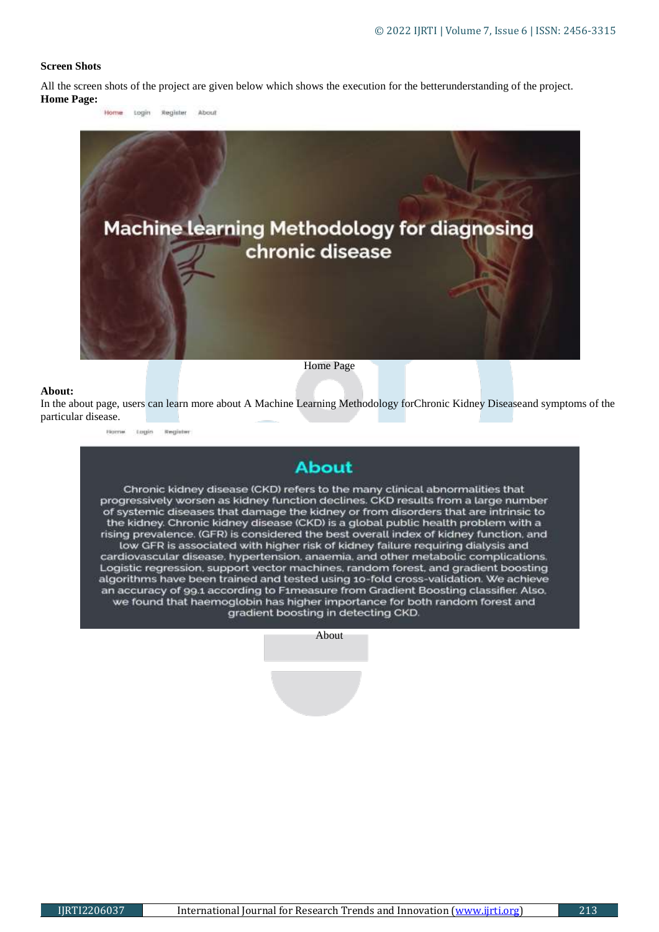# **Screen Shots**

All the screen shots of the project are given below which shows the execution for the betterunderstanding of the project. **Home Page:**



#### **About:**

In the about page, users can learn more about A Machine Learning Methodology forChronic Kidney Diseaseand symptoms of the particular disease.

Home Login Register

# **About**

Chronic kidney disease (CKD) refers to the many clinical abnormalities that progressively worsen as kidney function declines. CKD results from a large number of systemic diseases that damage the kidney or from disorders that are intrinsic to the kidney. Chronic kidney disease (CKD) is a global public health problem with a rising prevalence. (GFR) is considered the best overall index of kidney function, and low GFR is associated with higher risk of kidney failure requiring dialysis and cardiovascular disease, hypertension, anaemia, and other metabolic complications. Logistic regression, support vector machines, random forest, and gradient boosting algorithms have been trained and tested using 10-fold cross-validation. We achieve

an accuracy of 99.1 according to F1measure from Gradient Boosting classifier. Also, we found that haemoglobin has higher importance for both random forest and gradient boosting in detecting CKD.

About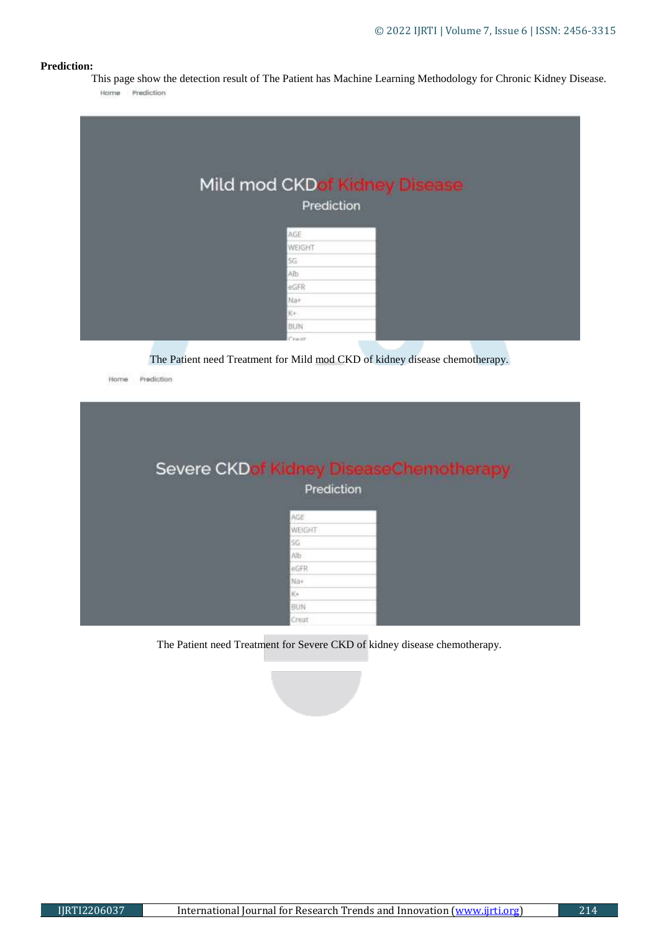# **Prediction:**

This page show the detection result of The Patient has Machine Learning Methodology for Chronic Kidney Disease. Home Prediction

|              | Mild mod CKDof Kidney Disease |  |
|--------------|-------------------------------|--|
| Prediction   |                               |  |
|              |                               |  |
| AGE          |                               |  |
| WEIGHT       |                               |  |
| 5G           |                               |  |
| Alb.         |                               |  |
| eGFR         |                               |  |
| Na+          |                               |  |
| K+           |                               |  |
| BUN          |                               |  |
| <b>Creat</b> |                               |  |

The Patient need Treatment for Mild mod CKD of kidney disease chemotherapy.

| Home | Prediction |                                                |
|------|------------|------------------------------------------------|
|      |            |                                                |
|      |            |                                                |
|      |            | <b>Severe CKDof Kidney DiseaseChemotherapy</b> |
|      |            | Prediction                                     |
|      |            |                                                |
|      |            | AGE                                            |
|      |            | WEIGHT                                         |
|      |            | 56<br>Alb                                      |
|      |            | eGFR                                           |
|      |            | Na+                                            |
|      |            | Ke                                             |
|      |            |                                                |
|      |            | BUN                                            |

The Patient need Treatment for Severe CKD of kidney disease chemotherapy.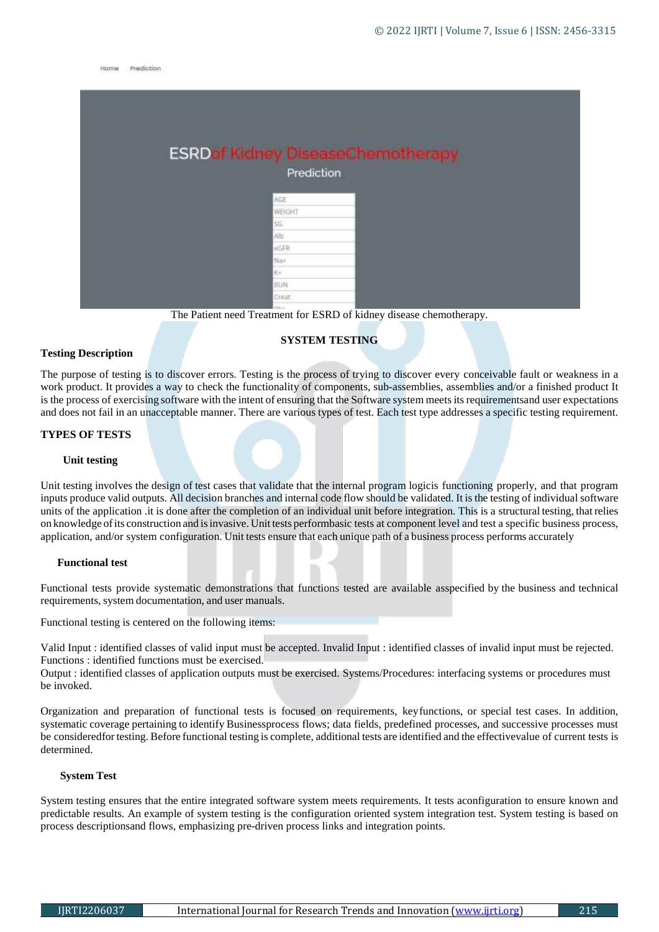Home Prediction

| <b>ESRDof Kidney DiseaseChemotherapy</b> |  |
|------------------------------------------|--|
| Prediction                               |  |
| AGE                                      |  |
| WEIGHT                                   |  |
| SG.                                      |  |
| Alb                                      |  |
| eGFR                                     |  |
| Na+                                      |  |
| $\pi$                                    |  |
| <b>BUN</b>                               |  |
| Creat                                    |  |

The Patient need Treatment for ESRD of kidney disease chemotherapy.

# **SYSTEM TESTING**

#### **Testing Description**

The purpose of testing is to discover errors. Testing is the process of trying to discover every conceivable fault or weakness in a work product. It provides a way to check the functionality of components, sub-assemblies, assemblies and/or a finished product It is the process of exercising software with the intent of ensuring that the Software system meets its requirementsand user expectations and does not fail in an unacceptable manner. There are various types of test. Each test type addresses a specific testing requirement.

#### **TYPES OF TESTS**

#### **Unit testing**

Unit testing involves the design of test cases that validate that the internal program logicis functioning properly, and that program inputs produce valid outputs. All decision branches and internal code flow should be validated. It is the testing of individual software units of the application .it is done after the completion of an individual unit before integration. This is a structural testing, that relies on knowledge ofits construction and isinvasive. Unit tests performbasic tests at component level and test a specific business process, application, and/or system configuration. Unit tests ensure that each unique path of a business process performs accurately

#### **Functional test**

Functional tests provide systematic demonstrations that functions tested are available asspecified by the business and technical requirements, system documentation, and user manuals.

Functional testing is centered on the following items:

Valid Input : identified classes of valid input must be accepted. Invalid Input : identified classes of invalid input must be rejected. Functions : identified functions must be exercised.

Output : identified classes of application outputs must be exercised. Systems/Procedures: interfacing systems or procedures must be invoked.

Organization and preparation of functional tests is focused on requirements, keyfunctions, or special test cases. In addition, systematic coverage pertaining to identify Businessprocess flows; data fields, predefined processes, and successive processes must be consideredfor testing. Before functional testing is complete, additional tests are identified and the effectivevalue of current tests is determined.

#### **System Test**

System testing ensures that the entire integrated software system meets requirements. It tests aconfiguration to ensure known and predictable results. An example of system testing is the configuration oriented system integration test. System testing is based on process descriptionsand flows, emphasizing pre-driven process links and integration points.